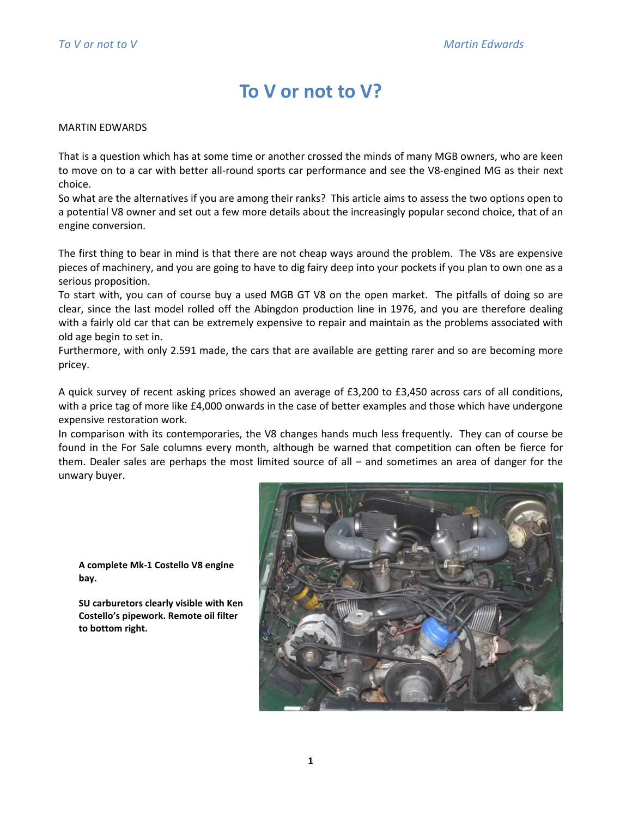## To V or not to V?

## MARTIN EDWARDS

That is a question which has at some time or another crossed the minds of many MGB owners, who are keen to move on to a car with better all-round sports car performance and see the V8-engined MG as their next choice.

So what are the alternatives if you are among their ranks? This article aims to assess the two options open to a potential V8 owner and set out a few more details about the increasingly popular second choice, that of an engine conversion.

The first thing to bear in mind is that there are not cheap ways around the problem. The V8s are expensive pieces of machinery, and you are going to have to dig fairy deep into your pockets if you plan to own one as a serious proposition.

To start with, you can of course buy a used MGB GT V8 on the open market. The pitfalls of doing so are clear, since the last model rolled off the Abingdon production line in 1976, and you are therefore dealing with a fairly old car that can be extremely expensive to repair and maintain as the problems associated with old age begin to set in.

Furthermore, with only 2.591 made, the cars that are available are getting rarer and so are becoming more pricey.

A quick survey of recent asking prices showed an average of £3,200 to £3,450 across cars of all conditions, with a price tag of more like £4,000 onwards in the case of better examples and those which have undergone expensive restoration work.

In comparison with its contemporaries, the V8 changes hands much less frequently. They can of course be found in the For Sale columns every month, although be warned that competition can often be fierce for them. Dealer sales are perhaps the most limited source of all – and sometimes an area of danger for the unwary buyer.

A complete Mk-1 Costello V8 engine bay.

SU carburetors clearly visible with Ken Costello's pipework. Remote oil filter to bottom right.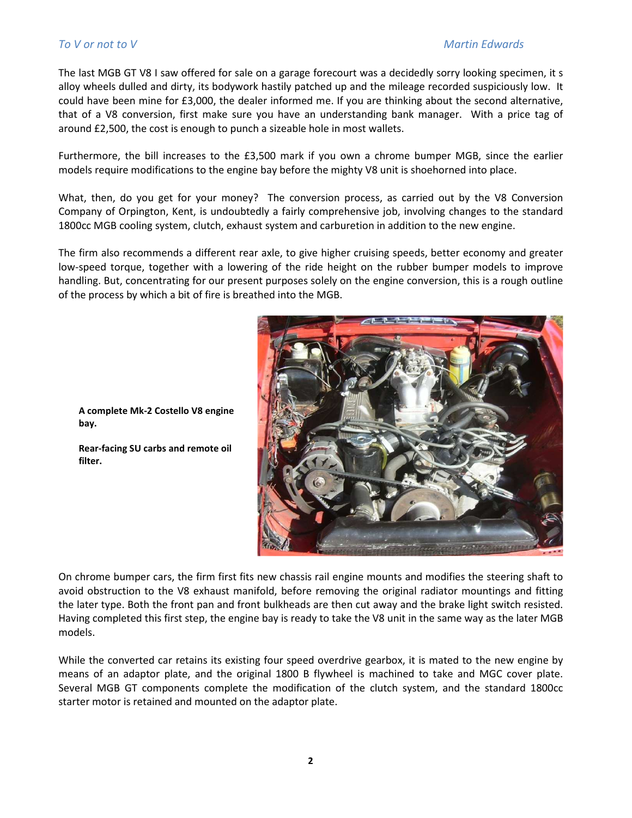The last MGB GT V8 I saw offered for sale on a garage forecourt was a decidedly sorry looking specimen, it s alloy wheels dulled and dirty, its bodywork hastily patched up and the mileage recorded suspiciously low. It could have been mine for £3,000, the dealer informed me. If you are thinking about the second alternative, that of a V8 conversion, first make sure you have an understanding bank manager. With a price tag of around £2,500, the cost is enough to punch a sizeable hole in most wallets.

Furthermore, the bill increases to the £3,500 mark if you own a chrome bumper MGB, since the earlier models require modifications to the engine bay before the mighty V8 unit is shoehorned into place.

What, then, do you get for your money? The conversion process, as carried out by the V8 Conversion Company of Orpington, Kent, is undoubtedly a fairly comprehensive job, involving changes to the standard 1800cc MGB cooling system, clutch, exhaust system and carburetion in addition to the new engine.

The firm also recommends a different rear axle, to give higher cruising speeds, better economy and greater low-speed torque, together with a lowering of the ride height on the rubber bumper models to improve handling. But, concentrating for our present purposes solely on the engine conversion, this is a rough outline of the process by which a bit of fire is breathed into the MGB.



A complete Mk-2 Costello V8 engine bay.

Rear-facing SU carbs and remote oil filter.

On chrome bumper cars, the firm first fits new chassis rail engine mounts and modifies the steering shaft to avoid obstruction to the V8 exhaust manifold, before removing the original radiator mountings and fitting the later type. Both the front pan and front bulkheads are then cut away and the brake light switch resisted. Having completed this first step, the engine bay is ready to take the V8 unit in the same way as the later MGB models.

While the converted car retains its existing four speed overdrive gearbox, it is mated to the new engine by means of an adaptor plate, and the original 1800 B flywheel is machined to take and MGC cover plate. Several MGB GT components complete the modification of the clutch system, and the standard 1800cc starter motor is retained and mounted on the adaptor plate.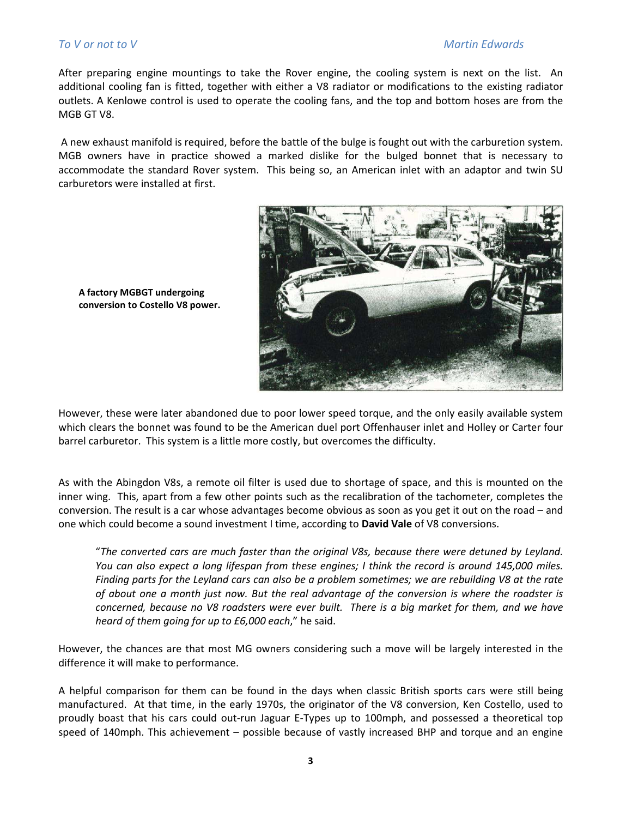## To V or not to V and the V and the V of the Martin Edwards of the Martin Edwards of the Martin Edwards of the Ma

After preparing engine mountings to take the Rover engine, the cooling system is next on the list. An additional cooling fan is fitted, together with either a V8 radiator or modifications to the existing radiator outlets. A Kenlowe control is used to operate the cooling fans, and the top and bottom hoses are from the MGB GT V8.

 A new exhaust manifold is required, before the battle of the bulge is fought out with the carburetion system. MGB owners have in practice showed a marked dislike for the bulged bonnet that is necessary to accommodate the standard Rover system. This being so, an American inlet with an adaptor and twin SU carburetors were installed at first.



A factory MGBGT undergoing conversion to Costello V8 power.

However, these were later abandoned due to poor lower speed torque, and the only easily available system which clears the bonnet was found to be the American duel port Offenhauser inlet and Holley or Carter four barrel carburetor. This system is a little more costly, but overcomes the difficulty.

As with the Abingdon V8s, a remote oil filter is used due to shortage of space, and this is mounted on the inner wing. This, apart from a few other points such as the recalibration of the tachometer, completes the conversion. The result is a car whose advantages become obvious as soon as you get it out on the road – and one which could become a sound investment I time, according to David Vale of V8 conversions.

"The converted cars are much faster than the original V8s, because there were detuned by Leyland. You can also expect a long lifespan from these engines; I think the record is around 145,000 miles. Finding parts for the Leyland cars can also be a problem sometimes; we are rebuilding V8 at the rate of about one a month just now. But the real advantage of the conversion is where the roadster is concerned, because no V8 roadsters were ever built. There is a big market for them, and we have heard of them going for up to £6,000 each," he said.

However, the chances are that most MG owners considering such a move will be largely interested in the difference it will make to performance.

A helpful comparison for them can be found in the days when classic British sports cars were still being manufactured. At that time, in the early 1970s, the originator of the V8 conversion, Ken Costello, used to proudly boast that his cars could out-run Jaguar E-Types up to 100mph, and possessed a theoretical top speed of 140mph. This achievement – possible because of vastly increased BHP and torque and an engine